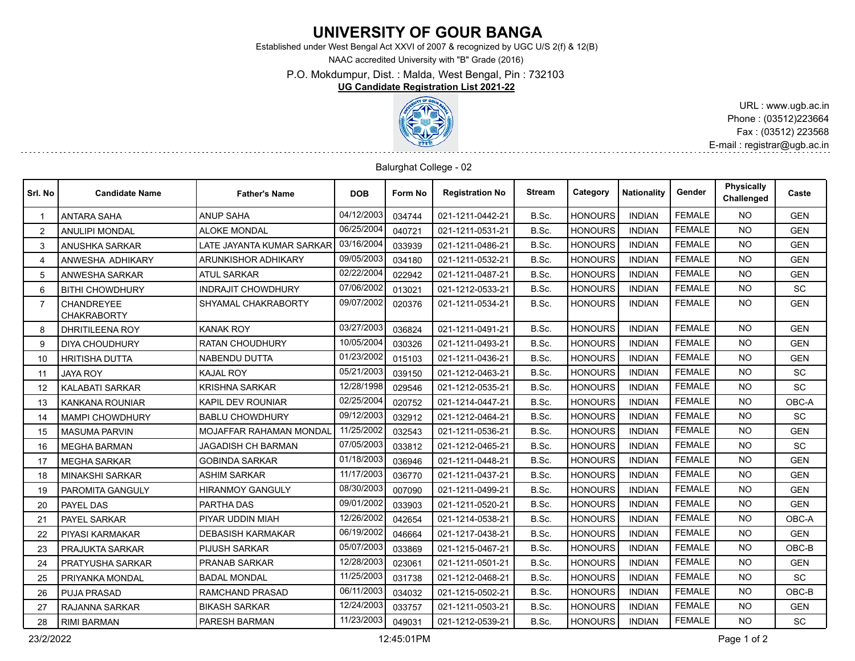## **UNIVERSITY OF GOUR BANGA**

Established under West Bengal Act XXVI of 2007 & recognized by UGC U/S 2(f) & 12(B)

NAAC accredited University with "B" Grade (2016)

P.O. Mokdumpur, Dist. : Malda, West Bengal, Pin : 732103

## **UG Candidate Registration List 2021-22**



URL : www.ugb.ac.in Phone : (03512)223664 Fax : (03512) 223568 E-mail : registrar@ugb.ac.in

## Balurghat College - 02

| Srl. No                 | <b>Candidate Name</b>                   | <b>Father's Name</b>           | <b>DOB</b> | Form No | <b>Registration No</b> | <b>Stream</b> | Category       | <b>Nationality</b> | Gender        | <b>Physically</b><br>Challenged | Caste      |
|-------------------------|-----------------------------------------|--------------------------------|------------|---------|------------------------|---------------|----------------|--------------------|---------------|---------------------------------|------------|
|                         | <b>ANTARA SAHA</b>                      | <b>ANUP SAHA</b>               | 04/12/2003 | 034744  | 021-1211-0442-21       | B.Sc.         | <b>HONOURS</b> | <b>INDIAN</b>      | <b>FEMALE</b> | <b>NO</b>                       | <b>GEN</b> |
| $\mathcal{P}$           | <b>ANULIPI MONDAL</b>                   | <b>ALOKE MONDAL</b>            | 06/25/2004 | 040721  | 021-1211-0531-21       | B.Sc.         | <b>HONOURS</b> | <b>INDIAN</b>      | <b>FEMALE</b> | <b>NO</b>                       | <b>GEN</b> |
| 3                       | ANUSHKA SARKAR                          | LATE JAYANTA KUMAR SARKAR      | 03/16/2004 | 033939  | 021-1211-0486-21       | B.Sc.         | <b>HONOURS</b> | <b>INDIAN</b>      | <b>FEMALE</b> | <b>NO</b>                       | <b>GEN</b> |
| $\overline{\mathbf{4}}$ | ANWESHA ADHIKARY                        | <b>ARUNKISHOR ADHIKARY</b>     | 09/05/2003 | 034180  | 021-1211-0532-21       | B.Sc.         | <b>HONOURS</b> | <b>INDIAN</b>      | <b>FEMALE</b> | <b>NO</b>                       | <b>GEN</b> |
| 5                       | <b>ANWESHA SARKAR</b>                   | <b>ATUL SARKAR</b>             | 02/22/2004 | 022942  | 021-1211-0487-21       | B.Sc.         | <b>HONOURS</b> | <b>INDIAN</b>      | <b>FEMALE</b> | <b>NO</b>                       | <b>GEN</b> |
| 6                       | <b>BITHI CHOWDHURY</b>                  | <b>INDRAJIT CHOWDHURY</b>      | 07/06/2002 | 013021  | 021-1212-0533-21       | B.Sc.         | <b>HONOURS</b> | <b>INDIAN</b>      | <b>FEMALE</b> | <b>NO</b>                       | <b>SC</b>  |
| $\overline{7}$          | <b>CHANDREYEE</b><br><b>CHAKRABORTY</b> | SHYAMAL CHAKRABORTY            | 09/07/2002 | 020376  | 021-1211-0534-21       | B.Sc.         | <b>HONOURS</b> | <b>INDIAN</b>      | <b>FEMALE</b> | <b>NO</b>                       | <b>GEN</b> |
| 8                       | <b>DHRITILEENA ROY</b>                  | <b>KANAK ROY</b>               | 03/27/2003 | 036824  | 021-1211-0491-21       | B.Sc.         | <b>HONOURS</b> | <b>INDIAN</b>      | <b>FEMALE</b> | <b>NO</b>                       | <b>GEN</b> |
| 9                       | <b>DIYA CHOUDHURY</b>                   | <b>RATAN CHOUDHURY</b>         | 10/05/2004 | 030326  | 021-1211-0493-21       | B.Sc.         | <b>HONOURS</b> | <b>INDIAN</b>      | <b>FEMALE</b> | <b>NO</b>                       | <b>GEN</b> |
| 10                      | <b>HRITISHA DUTTA</b>                   | <b>NABENDU DUTTA</b>           | 01/23/2002 | 015103  | 021-1211-0436-21       | B.Sc.         | <b>HONOURS</b> | <b>INDIAN</b>      | <b>FEMALE</b> | <b>NO</b>                       | <b>GEN</b> |
| 11                      | <b>JAYA ROY</b>                         | <b>KAJAL ROY</b>               | 05/21/2003 | 039150  | 021-1212-0463-21       | B.Sc.         | <b>HONOURS</b> | <b>INDIAN</b>      | <b>FEMALE</b> | <b>NO</b>                       | <b>SC</b>  |
| 12                      | <b>KALABATI SARKAR</b>                  | <b>KRISHNA SARKAR</b>          | 12/28/1998 | 029546  | 021-1212-0535-21       | B.Sc.         | <b>HONOURS</b> | <b>INDIAN</b>      | <b>FEMALE</b> | <b>NO</b>                       | <b>SC</b>  |
| 13                      | <b>KANKANA ROUNIAR</b>                  | KAPIL DEV ROUNIAR              | 02/25/2004 | 020752  | 021-1214-0447-21       | B.Sc.         | <b>HONOURS</b> | <b>INDIAN</b>      | <b>FEMALE</b> | <b>NO</b>                       | OBC-A      |
| 14                      | <b>MAMPI CHOWDHURY</b>                  | <b>BABLU CHOWDHURY</b>         | 09/12/2003 | 032912  | 021-1212-0464-21       | B.Sc.         | <b>HONOURS</b> | <b>INDIAN</b>      | <b>FEMALE</b> | <b>NO</b>                       | SC         |
| 15                      | <b>MASUMA PARVIN</b>                    | <b>MOJAFFAR RAHAMAN MONDAL</b> | 11/25/2002 | 032543  | 021-1211-0536-21       | B.Sc.         | <b>HONOURS</b> | <b>INDIAN</b>      | <b>FEMALE</b> | <b>NO</b>                       | <b>GEN</b> |
| 16                      | <b>MEGHA BARMAN</b>                     | <b>JAGADISH CH BARMAN</b>      | 07/05/2003 | 033812  | 021-1212-0465-21       | B.Sc.         | <b>HONOURS</b> | <b>INDIAN</b>      | <b>FEMALE</b> | <b>NO</b>                       | <b>SC</b>  |
| 17                      | <b>MEGHA SARKAR</b>                     | <b>GOBINDA SARKAR</b>          | 01/18/2003 | 036946  | 021-1211-0448-21       | B.Sc.         | <b>HONOURS</b> | <b>INDIAN</b>      | <b>FEMALE</b> | <b>NO</b>                       | <b>GEN</b> |
| 18                      | <b>MINAKSHI SARKAR</b>                  | <b>ASHIM SARKAR</b>            | 11/17/2003 | 036770  | 021-1211-0437-21       | B.Sc.         | <b>HONOURS</b> | <b>INDIAN</b>      | <b>FEMALE</b> | NO.                             | <b>GEN</b> |
| 19                      | PAROMITA GANGULY                        | <b>HIRANMOY GANGULY</b>        | 08/30/2003 | 007090  | 021-1211-0499-21       | B.Sc.         | <b>HONOURS</b> | <b>INDIAN</b>      | <b>FEMALE</b> | <b>NO</b>                       | <b>GEN</b> |
| 20                      | <b>PAYEL DAS</b>                        | PARTHA DAS                     | 09/01/2002 | 033903  | 021-1211-0520-21       | B.Sc.         | <b>HONOURS</b> | <b>INDIAN</b>      | <b>FEMALE</b> | <b>NO</b>                       | <b>GEN</b> |
| 21                      | PAYEL SARKAR                            | PIYAR UDDIN MIAH               | 12/26/2002 | 042654  | 021-1214-0538-21       | B.Sc.         | <b>HONOURS</b> | <b>INDIAN</b>      | <b>FEMALE</b> | <b>NO</b>                       | OBC-A      |
| 22                      | PIYASI KARMAKAR                         | <b>DEBASISH KARMAKAR</b>       | 06/19/2002 | 046664  | 021-1217-0438-21       | B.Sc.         | <b>HONOURS</b> | <b>INDIAN</b>      | <b>FEMALE</b> | <b>NO</b>                       | <b>GEN</b> |
| 23                      | PRAJUKTA SARKAR                         | <b>PIJUSH SARKAR</b>           | 05/07/2003 | 033869  | 021-1215-0467-21       | B.Sc.         | <b>HONOURS</b> | <b>INDIAN</b>      | <b>FEMALE</b> | <b>NO</b>                       | OBC-B      |
| 24                      | <b>PRATYUSHA SARKAR</b>                 | PRANAB SARKAR                  | 12/28/2003 | 023061  | 021-1211-0501-21       | B.Sc.         | <b>HONOURS</b> | <b>INDIAN</b>      | <b>FEMALE</b> | <b>NO</b>                       | <b>GEN</b> |
| 25                      | PRIYANKA MONDAL                         | <b>BADAL MONDAL</b>            | 11/25/2003 | 031738  | 021-1212-0468-21       | B.Sc.         | <b>HONOURS</b> | <b>INDIAN</b>      | <b>FEMALE</b> | <b>NO</b>                       | <b>SC</b>  |
| 26                      | <b>PUJA PRASAD</b>                      | <b>RAMCHAND PRASAD</b>         | 06/11/2003 | 034032  | 021-1215-0502-21       | B.Sc.         | <b>HONOURS</b> | <b>INDIAN</b>      | <b>FEMALE</b> | NO.                             | OBC-B      |
| 27                      | RAJANNA SARKAR                          | <b>BIKASH SARKAR</b>           | 12/24/2003 | 033757  | 021-1211-0503-21       | B.Sc.         | <b>HONOURS</b> | <b>INDIAN</b>      | <b>FEMALE</b> | <b>NO</b>                       | <b>GEN</b> |
| 28                      | <b>RIMI BARMAN</b>                      | PARESH BARMAN                  | 11/23/2003 | 049031  | 021-1212-0539-21       | B.Sc.         | <b>HONOURS</b> | <b>INDIAN</b>      | <b>FEMALE</b> | <b>NO</b>                       | <b>SC</b>  |